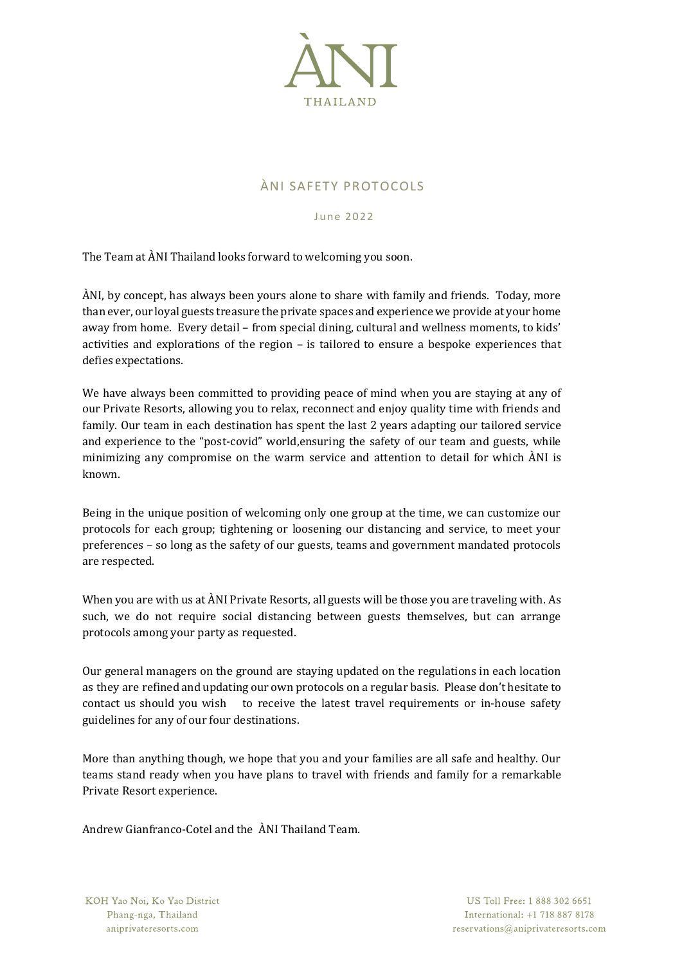

## ÀNI SAFETY PROTOCOLS

June 2022

The Team at ÀNI Thailand looks forward to welcoming you soon.

ÀNI, by concept, has always been yours alone to share with family and friends. Today, more than ever, our loyal guests treasure the private spaces and experience we provide at your home away from home. Every detail – from special dining, cultural and wellness moments, to kids' activities and explorations of the region – is tailored to ensure a bespoke experiences that defies expectations.

We have always been committed to providing peace of mind when you are staying at any of our Private Resorts, allowing you to relax, reconnect and enjoy quality time with friends and family. Our team in each destination has spent the last 2 years adapting our tailored service and experience to the "post-covid" world,ensuring the safety of our team and guests, while minimizing any compromise on the warm service and attention to detail for which ÀNI is known.

Being in the unique position of welcoming only one group at the time, we can customize our protocols for each group; tightening or loosening our distancing and service, to meet your preferences – so long as the safety of our guests, teams and government mandated protocols are respected.

When you are with us at ÀNI Private Resorts, all guests will be those you are traveling with. As such, we do not require social distancing between guests themselves, but can arrange protocols among your party as requested.

Our general managers on the ground are staying updated on the regulations in each location as they are refined and updating our own protocols on a regular basis. Please don't hesitate to contact us should you wish to receive the latest travel requirements or in-house safety guidelines for any of our four destinations.

More than anything though, we hope that you and your families are all safe and healthy. Our teams stand ready when you have plans to travel with friends and family for a remarkable Private Resort experience.

Andrew Gianfranco-Cotel and the ÀNI Thailand Team.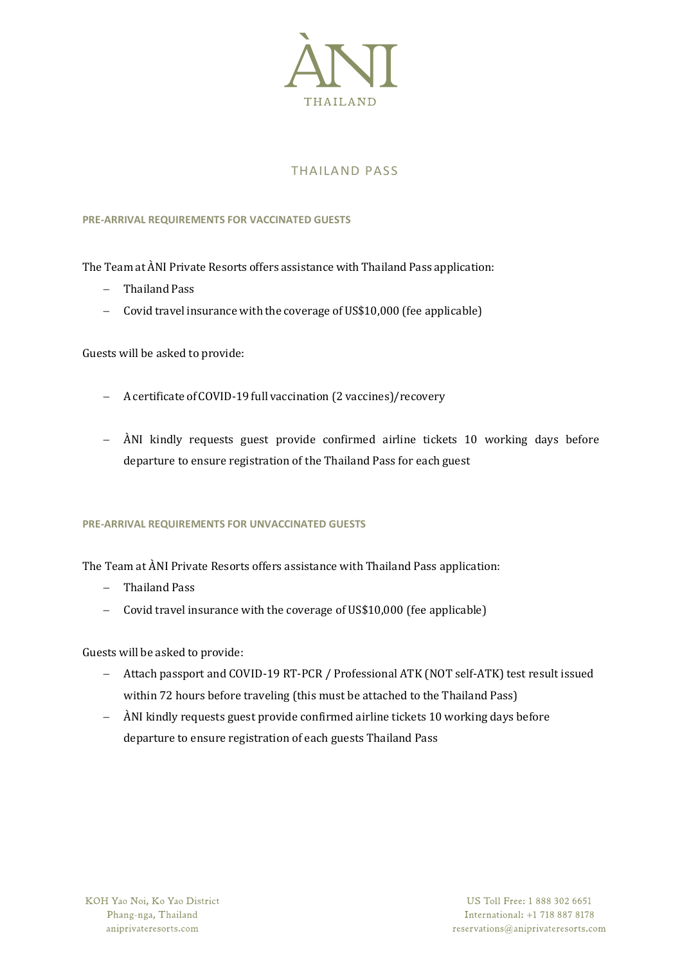

# THAILAND PASS

## **PRE-ARRIVAL REQUIREMENTS FOR VACCINATED GUESTS**

The Team at ÀNI Private Resorts offers assistance with Thailand Pass application:

- − Thailand Pass
- − Covid travel insurance with the coverage of US\$10,000 (fee applicable)

Guests will be asked to provide:

- − Acertificate of COVID-19full vaccination (2 vaccines)/recovery
- − ÀNI kindly requests guest provide confirmed airline tickets 10 working days before departure to ensure registration of the Thailand Pass for each guest

## **PRE-ARRIVAL REQUIREMENTS FOR UNVACCINATED GUESTS**

The Team at ÀNI Private Resorts offers assistance with Thailand Pass application:

- − Thailand Pass
- − Covid travel insurance with the coverage of US\$10,000 (fee applicable)

Guests will be asked to provide:

- − Attach passport and COVID-19 RT-PCR / Professional ATK (NOT self-ATK) test result issued within 72 hours before traveling (this must be attached to the Thailand Pass)
- − ÀNI kindly requests guest provide confirmed airline tickets 10 working days before departure to ensure registration of each guests Thailand Pass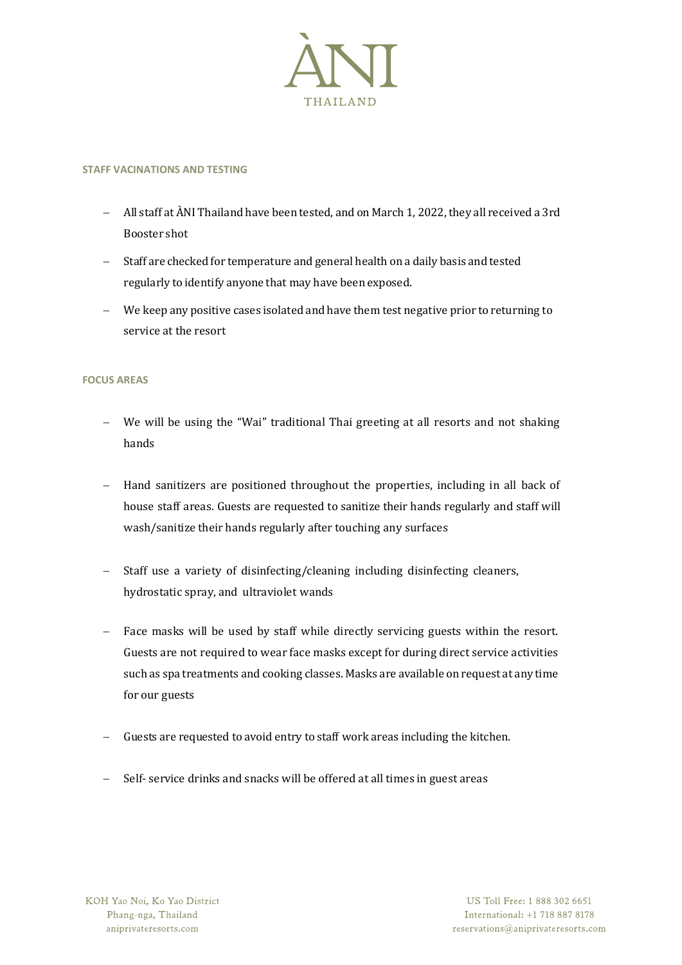

#### **STAFF VACINATIONS AND TESTING**

- − All staff at ÀNI Thailand have been tested, and on March 1, 2022, they all received a 3rd Booster shot
- − Staff are checked for temperature and general health on a daily basis and tested regularly to identify anyone that may have been exposed.
- − We keep any positive cases isolated and have them test negative prior to returning to service at the resort

#### **FOCUS AREAS**

- We will be using the "Wai" traditional Thai greeting at all resorts and not shaking hands
- − Hand sanitizers are positioned throughout the properties, including in all back of house staff areas. Guests are requested to sanitize their hands regularly and staff will wash/sanitize their hands regularly after touching any surfaces
- − Staff use a variety of disinfecting/cleaning including disinfecting cleaners, hydrostatic spray, and ultraviolet wands
- − Face masks will be used by staff while directly servicing guests within the resort. Guests are not required to wear face masks except for during direct service activities such as spa treatments and cooking classes. Masks are available on request at any time for our guests
- − Guests are requested to avoid entry to staff work areas including the kitchen.
- − Self- service drinks and snacks will be offered at all times in guest areas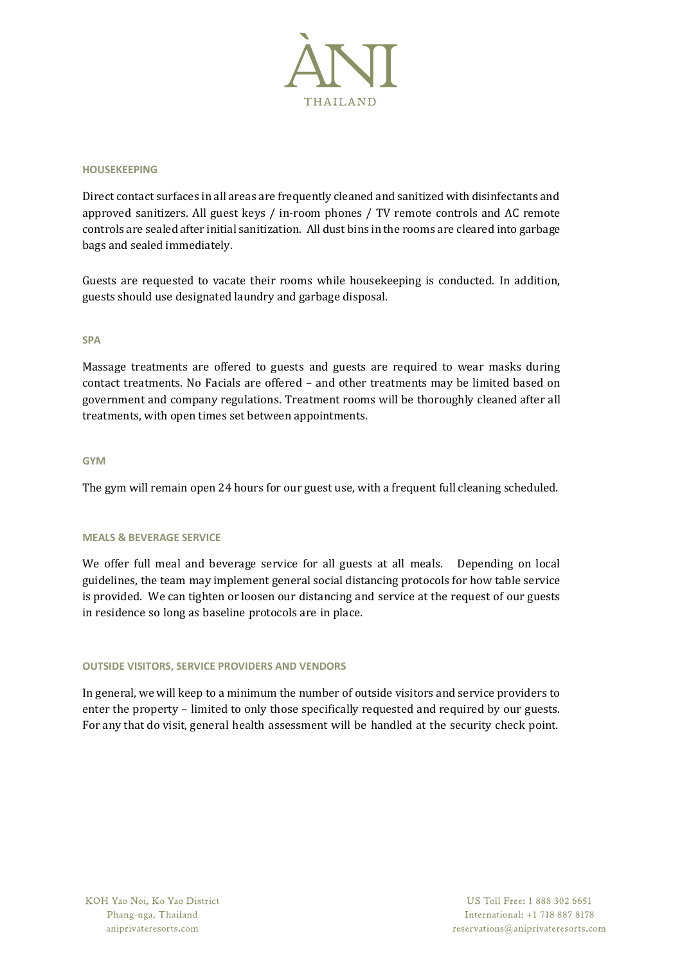

#### **HOUSEKEEPING**

Direct contact surfaces in all areas are frequently cleaned and sanitized with disinfectants and approved sanitizers. All guest keys / in-room phones / TV remote controls and AC remote controls are sealed after initial sanitization. All dust bins in the rooms are cleared into garbage bags and sealed immediately.

Guests are requested to vacate their rooms while housekeeping is conducted. In addition, guests should use designated laundry and garbage disposal.

#### **SPA**

Massage treatments are offered to guests and guests are required to wear masks during contact treatments. No Facials are offered – and other treatments may be limited based on government and company regulations. Treatment rooms will be thoroughly cleaned after all treatments, with open times set between appointments.

## **GYM**

The gym will remain open 24 hours for our guest use, with a frequent full cleaning scheduled.

#### **MEALS & BEVERAGE SERVICE**

We offer full meal and beverage service for all guests at all meals. Depending on local guidelines, the team may implement general social distancing protocols for how table service is provided. We can tighten or loosen our distancing and service at the request of our guests in residence so long as baseline protocols are in place.

#### **OUTSIDE VISITORS, SERVICE PROVIDERS AND VENDORS**

In general, we will keep to a minimum the number of outside visitors and service providers to enter the property – limited to only those specifically requested and required by our guests. For any that do visit, general health assessment will be handled at the security check point.